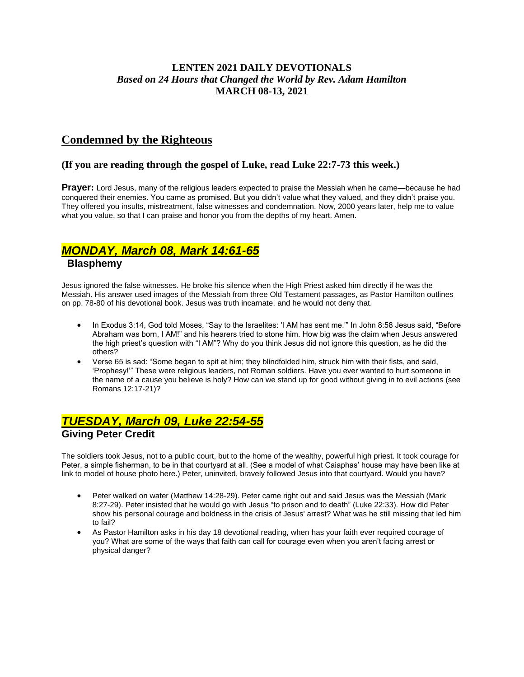### **LENTEN 2021 DAILY DEVOTIONALS** *Based on 24 Hours that Changed the World by Rev. Adam Hamilton* **MARCH 08-13, 2021**

### **Condemned by the Righteous**

#### **(If you are reading through the gospel of Luke, read Luke 22:7-73 this week.)**

**Prayer:** Lord Jesus, many of the religious leaders expected to praise the Messiah when he came—because he had conquered their enemies. You came as promised. But you didn't value what they valued, and they didn't praise you. They offered you insults, mistreatment, false witnesses and condemnation. Now, 2000 years later, help me to value what you value, so that I can praise and honor you from the depths of my heart. Amen.

## *MONDAY, March 08, Mark 14:61-65*

### **Blasphemy**

Jesus ignored the false witnesses. He broke his silence when the High Priest asked him directly if he was the Messiah. His answer used images of the Messiah from three Old Testament passages, as Pastor Hamilton outlines on pp. 78-80 of his devotional book. Jesus was truth incarnate, and he would not deny that.

- In Exodus 3:14, God told Moses, "Say to the Israelites: 'I AM has sent me.'" In John 8:58 Jesus said, "Before Abraham was born, I AM!" and his hearers tried to stone him. How big was the claim when Jesus answered the high priest's question with "I AM"? Why do you think Jesus did not ignore this question, as he did the others?
- Verse 65 is sad: "Some began to spit at him; they blindfolded him, struck him with their fists, and said, 'Prophesy!'" These were religious leaders, not Roman soldiers. Have you ever wanted to hurt someone in the name of a cause you believe is holy? How can we stand up for good without giving in to evil actions (see Romans 12:17-21)?

### *TUESDAY, March 09, Luke 22:54-55* **Giving Peter Credit**

The soldiers took Jesus, not to a public court, but to the home of the wealthy, powerful high priest. It took courage for Peter, a simple fisherman, to be in that courtyard at all. (See a model of what Caiaphas' house may have been like at link to model of house photo here.) Peter, uninvited, bravely followed Jesus into that courtyard. Would you have?

- Peter walked on water (Matthew 14:28-29). Peter came right out and said Jesus was the Messiah (Mark 8:27-29). Peter insisted that he would go with Jesus "to prison and to death" (Luke 22:33). How did Peter show his personal courage and boldness in the crisis of Jesus' arrest? What was he still missing that led him to fail?
- As Pastor Hamilton asks in his day 18 devotional reading, when has your faith ever required courage of you? What are some of the ways that faith can call for courage even when you aren't facing arrest or physical danger?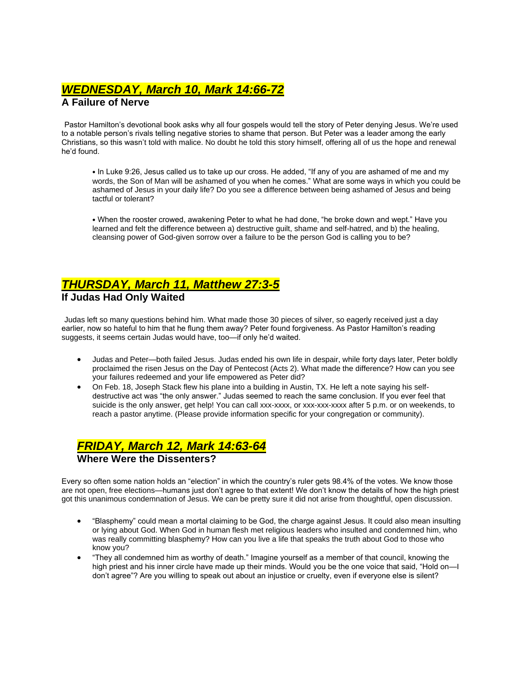# *WEDNESDAY, March 10, Mark 14:66-72*

### **A Failure of Nerve**

Pastor Hamilton's devotional book asks why all four gospels would tell the story of Peter denying Jesus. We're used to a notable person's rivals telling negative stories to shame that person. But Peter was a leader among the early Christians, so this wasn't told with malice. No doubt he told this story himself, offering all of us the hope and renewal he'd found.

• In Luke 9:26, Jesus called us to take up our cross. He added, "If any of you are ashamed of me and my words, the Son of Man will be ashamed of you when he comes." What are some ways in which you could be ashamed of Jesus in your daily life? Do you see a difference between being ashamed of Jesus and being tactful or tolerant?

• When the rooster crowed, awakening Peter to what he had done, "he broke down and wept." Have you learned and felt the difference between a) destructive guilt, shame and self-hatred, and b) the healing, cleansing power of God-given sorrow over a failure to be the person God is calling you to be?

### *THURSDAY, March 11, Matthew 27:3-5* **If Judas Had Only Waited**

Judas left so many questions behind him. What made those 30 pieces of silver, so eagerly received just a day earlier, now so hateful to him that he flung them away? Peter found forgiveness. As Pastor Hamilton's reading suggests, it seems certain Judas would have, too—if only he'd waited.

- Judas and Peter—both failed Jesus. Judas ended his own life in despair, while forty days later, Peter boldly proclaimed the risen Jesus on the Day of Pentecost (Acts 2). What made the difference? How can you see your failures redeemed and your life empowered as Peter did?
- On Feb. 18, Joseph Stack flew his plane into a building in Austin, TX. He left a note saying his selfdestructive act was "the only answer." Judas seemed to reach the same conclusion. If you ever feel that suicide is the only answer, get help! You can call xxx-xxxx, or xxx-xxx-xxxx after 5 p.m. or on weekends, to reach a pastor anytime. (Please provide information specific for your congregation or community).

## *FRIDAY, March 12, Mark 14:63-64* **Where Were the Dissenters?**

Every so often some nation holds an "election" in which the country's ruler gets 98.4% of the votes. We know those are not open, free elections—humans just don't agree to that extent! We don't know the details of how the high priest got this unanimous condemnation of Jesus. We can be pretty sure it did not arise from thoughtful, open discussion.

- "Blasphemy" could mean a mortal claiming to be God, the charge against Jesus. It could also mean insulting or lying about God. When God in human flesh met religious leaders who insulted and condemned him, who was really committing blasphemy? How can you live a life that speaks the truth about God to those who know you?
- "They all condemned him as worthy of death." Imagine yourself as a member of that council, knowing the high priest and his inner circle have made up their minds. Would you be the one voice that said, "Hold on—I don't agree"? Are you willing to speak out about an injustice or cruelty, even if everyone else is silent?